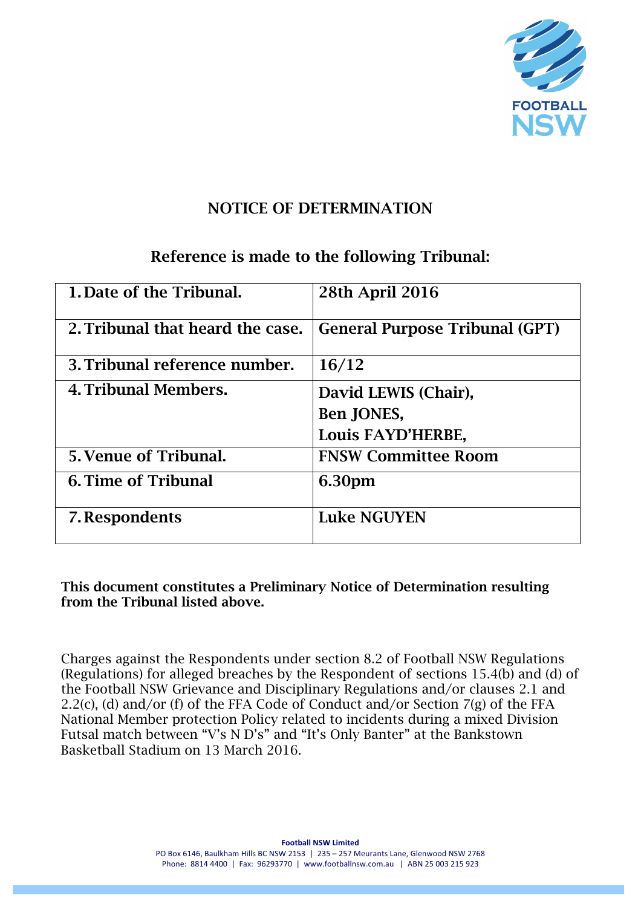

## NOTICE OF DETERMINATION

### Reference is made to the following Tribunal:

| 1. Date of the Tribunal.         | <b>28th April 2016</b>                |
|----------------------------------|---------------------------------------|
| 2. Tribunal that heard the case. | <b>General Purpose Tribunal (GPT)</b> |
| 3. Tribunal reference number.    | 16/12                                 |
| 4. Tribunal Members.             | David LEWIS (Chair),                  |
|                                  | Ben JONES,                            |
|                                  | Louis FAYD'HERBE,                     |
| 5. Venue of Tribunal.            | <b>FNSW Committee Room</b>            |
| <b>6. Time of Tribunal</b>       | 6.30pm                                |
| 7. Respondents                   | <b>Luke NGUYEN</b>                    |

This document constitutes a Preliminary Notice of Determination resulting from the Tribunal listed above.

Charges against the Respondents under section 8.2 of Football NSW Regulations (Regulations) for alleged breaches by the Respondent of sections 15.4(b) and (d) of the Football NSW Grievance and Disciplinary Regulations and/or clauses 2.1 and 2.2(c), (d) and/or (f) of the FFA Code of Conduct and/or Section 7(g) of the FFA National Member protection Policy related to incidents during a mixed Division Futsal match between "V's N D's" and "It's Only Banter" at the Bankstown Basketball Stadium on 13 March 2016.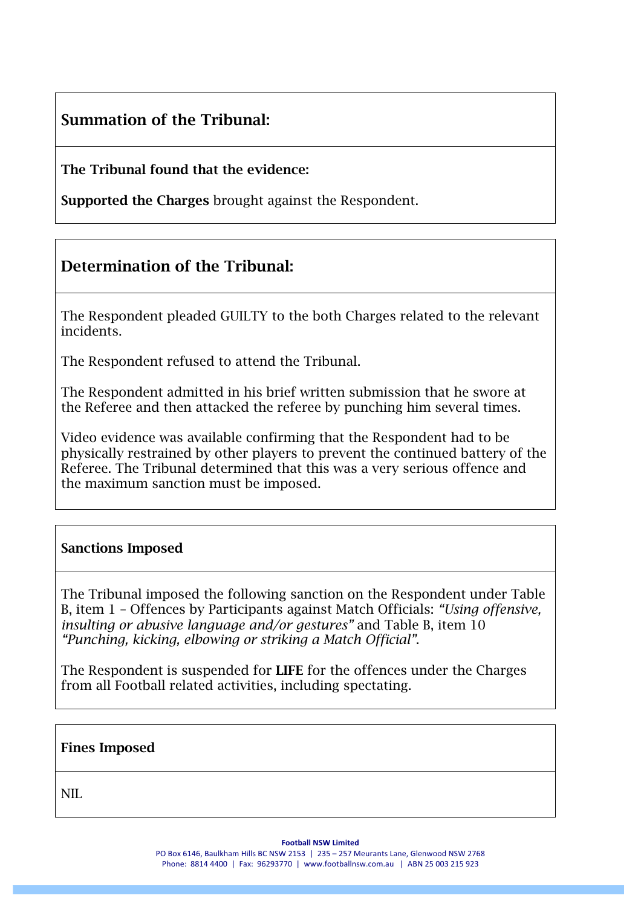# Summation of the Tribunal:

### The Tribunal found that the evidence:

Supported the Charges brought against the Respondent.

## Determination of the Tribunal:

The Respondent pleaded GUILTY to the both Charges related to the relevant incidents.

The Respondent refused to attend the Tribunal.

The Respondent admitted in his brief written submission that he swore at the Referee and then attacked the referee by punching him several times.

Video evidence was available confirming that the Respondent had to be physically restrained by other players to prevent the continued battery of the Referee. The Tribunal determined that this was a very serious offence and the maximum sanction must be imposed.

### Sanctions Imposed

The Tribunal imposed the following sanction on the Respondent under Table B, item 1 – Offences by Participants against Match Officials: *"Using offensive, insulting or abusive language and/or gestures"* and Table B, item 10 *"Punching, kicking, elbowing or striking a Match Official"*.

The Respondent is suspended for LIFE for the offences under the Charges from all Football related activities, including spectating.

| <b>Fines Imposed</b> |  |  |
|----------------------|--|--|
| NIL                  |  |  |